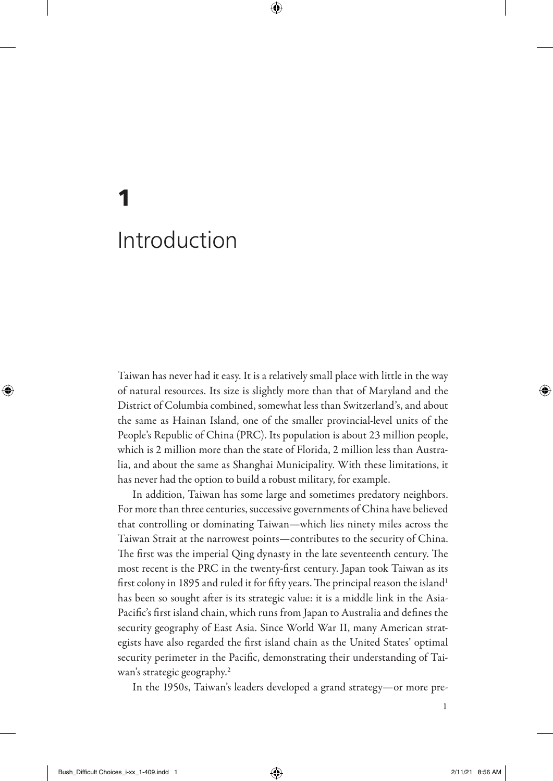Taiwan has never had it easy. It is a relatively small place with little in the way of natural resources. Its size is slightly more than that of Maryland and the District of Columbia combined, somewhat less than Switzerland's, and about the same as Hainan Island, one of the smaller provincial-level units of the People's Republic of China (PRC). Its population is about 23 million people, which is 2 million more than the state of Florida, 2 million less than Australia, and about the same as Shanghai Municipality. With these limitations, it has never had the option to build a robust military, for example.

In addition, Taiwan has some large and sometimes predatory neighbors. For more than three centuries, successive governments of China have believed that controlling or dominating Taiwan—which lies ninety miles across the Taiwan Strait at the narrowest points—contributes to the security of China. The first was the imperial Qing dynasty in the late seventeenth century. The most recent is the PRC in the twenty-first century. Japan took Taiwan as its first colony in 1895 and ruled it for fifty years. The principal reason the island<sup>1</sup> has been so sought after is its strategic value: it is a middle link in the Asia-Pacific's first island chain, which runs from Japan to Australia and defines the security geography of East Asia. Since World War II, many American strategists have also regarded the first island chain as the United States' optimal security perimeter in the Pacific, demonstrating their understanding of Taiwan's strategic geography.<sup>2</sup>

In the 1950s, Taiwan's leaders developed a grand strategy—or more pre-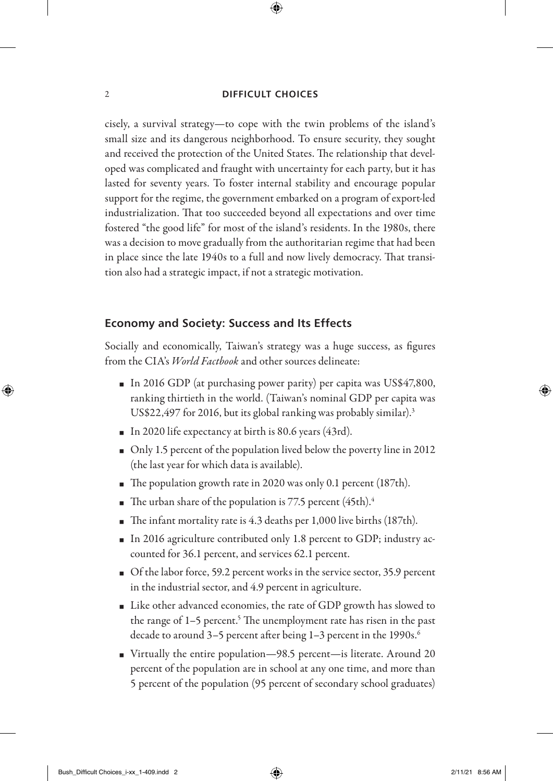cisely, a survival strategy—to cope with the twin problems of the island's small size and its dangerous neighborhood. To ensure security, they sought and received the protection of the United States. The relationship that developed was complicated and fraught with uncertainty for each party, but it has lasted for seventy years. To foster internal stability and encourage popular support for the regime, the government embarked on a program of export-led industrialization. That too succeeded beyond all expectations and over time fostered "the good life" for most of the island's residents. In the 1980s, there was a decision to move gradually from the authoritarian regime that had been in place since the late 1940s to a full and now lively democracy. That transition also had a strategic impact, if not a strategic motivation.

# **Economy and Society: Success and Its Effects**

Socially and economically, Taiwan's strategy was a huge success, as figures from the CIA's *World Factbook* and other sources delineate:

- $\blacksquare$  In 2016 GDP (at purchasing power parity) per capita was US\$47,800, ranking thirtieth in the world. (Taiwan's nominal GDP per capita was US\$22,497 for 2016, but its global ranking was probably similar).3
- $\blacksquare$  In 2020 life expectancy at birth is 80.6 years (43rd).
- Only 1.5 percent of the population lived below the poverty line in 2012 (the last year for which data is available).
- The population growth rate in 2020 was only 0.1 percent (187th).
- The urban share of the population is 77.5 percent  $(45th).4$
- The infant mortality rate is 4.3 deaths per 1,000 live births (187th).
- $\blacksquare$  In 2016 agriculture contributed only 1.8 percent to GDP; industry accounted for 36.1 percent, and services 62.1 percent.
- $\blacksquare$  Of the labor force, 59.2 percent works in the service sector, 35.9 percent in the industrial sector, and 4.9 percent in agriculture.
- Like other advanced economies, the rate of GDP growth has slowed to the range of 1–5 percent.<sup>5</sup> The unemployment rate has risen in the past decade to around 3-5 percent after being 1-3 percent in the 1990s.<sup>6</sup>
- <sup>O</sup> Virtually the entire population—98.5 percent—is literate. Around 20 percent of the population are in school at any one time, and more than 5 percent of the population (95 percent of secondary school graduates)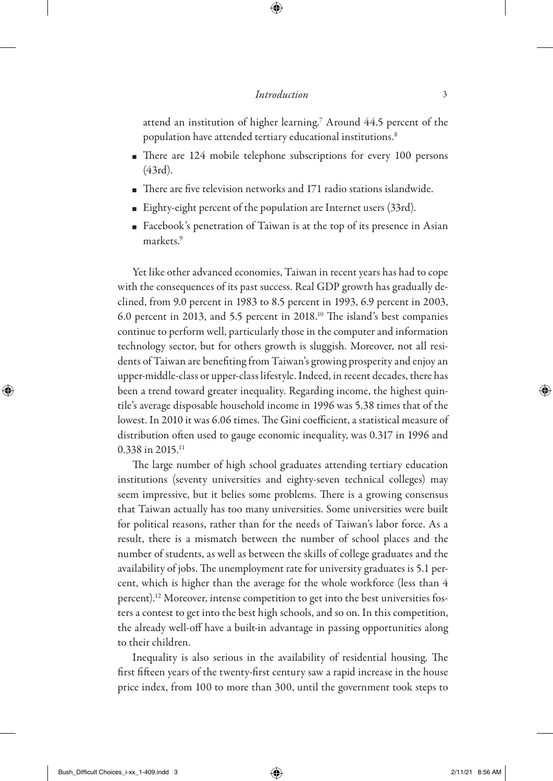attend an institution of higher learning.<sup>7</sup> Around  $44.5$  percent of the population have attended tertiary educational institutions.8

- $\blacksquare$  There are 124 mobile telephone subscriptions for every 100 persons (43rd).
- $\blacksquare$  There are five television networks and 171 radio stations islandwide.
- Eighty-eight percent of the population are Internet users  $(33rd)$ .
- Facebook's penetration of Taiwan is at the top of its presence in Asian markets.9

Yet like other advanced economies, Taiwan in recent years has had to cope with the consequences of its past success. Real GDP growth has gradually declined, from 9.0 percent in 1983 to 8.5 percent in 1993, 6.9 percent in 2003, 6.0 percent in 2013, and 5.5 percent in 2018.10 The island's best companies continue to perform well, particularly those in the computer and information technology sector, but for others growth is sluggish. Moreover, not all residents of Taiwan are benefiting from Taiwan's growing prosperity and enjoy an upper-middle-class or upper-class lifestyle. Indeed, in recent decades, there has been a trend toward greater inequality. Regarding income, the highest quintile's average disposable household income in 1996 was 5.38 times that of the lowest. In 2010 it was 6.06 times. The Gini coefficient, a statistical measure of distribution often used to gauge economic inequality, was 0.317 in 1996 and 0.338 in 2015.<sup>11</sup>

The large number of high school graduates attending tertiary education institutions (seventy universities and eighty-seven technical colleges) may seem impressive, but it belies some problems. There is a growing consensus that Taiwan actually has too many universities. Some universities were built for political reasons, rather than for the needs of Taiwan's labor force. As a result, there is a mismatch between the number of school places and the number of students, as well as between the skills of college graduates and the availability of jobs. The unemployment rate for university graduates is 5.1 percent, which is higher than the average for the whole workforce (less than 4 percent).12 Moreover, intense competition to get into the best universities fosters a contest to get into the best high schools, and so on. In this competition, the already well-off have a built-in advantage in passing opportunities along to their children.

Inequality is also serious in the availability of residential housing. The first fifteen years of the twenty-first century saw a rapid increase in the house price index, from 100 to more than 300, until the government took steps to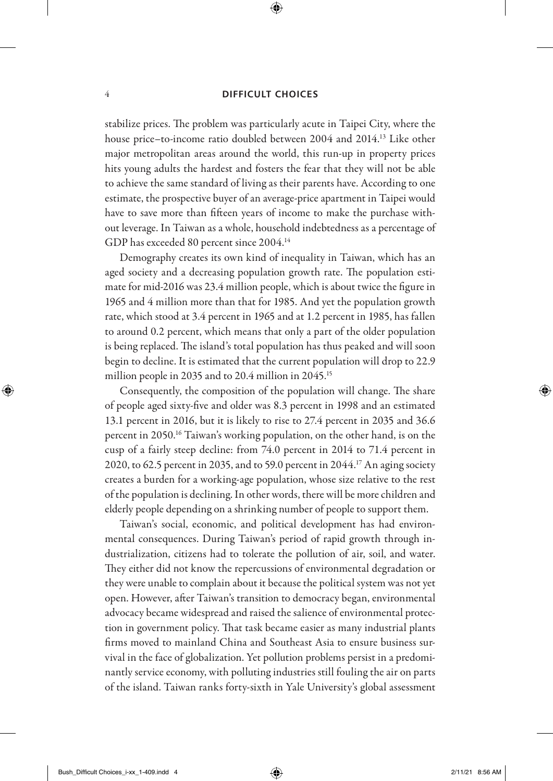#### 4 **DIFFICULT CHOICES**

stabilize prices. The problem was particularly acute in Taipei City, where the house price–to-income ratio doubled between 2004 and 2014.<sup>13</sup> Like other major metropolitan areas around the world, this run-up in property prices hits young adults the hardest and fosters the fear that they will not be able to achieve the same standard of living as their parents have. According to one estimate, the prospective buyer of an average-price apartment in Taipei would have to save more than fifteen years of income to make the purchase without leverage. In Taiwan as a whole, household indebtedness as a percentage of GDP has exceeded 80 percent since 2004.14

Demography creates its own kind of inequality in Taiwan, which has an aged society and a decreasing population growth rate. The population estimate for mid-2016 was 23.4 million people, which is about twice the figure in 1965 and 4 million more than that for 1985. And yet the population growth rate, which stood at 3.4 percent in 1965 and at 1.2 percent in 1985, has fallen to around 0.2 percent, which means that only a part of the older population is being replaced. The island's total population has thus peaked and will soon begin to decline. It is estimated that the current population will drop to 22.9 million people in 2035 and to 20.4 million in 2045.15

Consequently, the composition of the population will change. The share of people aged sixty-five and older was 8.3 percent in 1998 and an estimated 13.1 percent in 2016, but it is likely to rise to 27.4 percent in 2035 and 36.6 percent in 2050.16 Taiwan's working population, on the other hand, is on the cusp of a fairly steep decline: from 74.0 percent in 2014 to 71.4 percent in 2020, to 62.5 percent in 2035, and to 59.0 percent in 2044.17 An aging society creates a burden for a working-age population, whose size relative to the rest of the population is declining. In other words, there will be more children and elderly people depending on a shrinking number of people to support them.

Taiwan's social, economic, and political development has had environmental consequences. During Taiwan's period of rapid growth through industrialization, citizens had to tolerate the pollution of air, soil, and water. They either did not know the repercussions of environmental degradation or they were unable to complain about it because the political system was not yet open. However, after Taiwan's transition to democracy began, environmental advocacy became widespread and raised the salience of environmental protection in government policy. That task became easier as many industrial plants firms moved to mainland China and Southeast Asia to ensure business survival in the face of globalization. Yet pollution problems persist in a predominantly service economy, with polluting industries still fouling the air on parts of the island. Taiwan ranks forty-sixth in Yale University's global assessment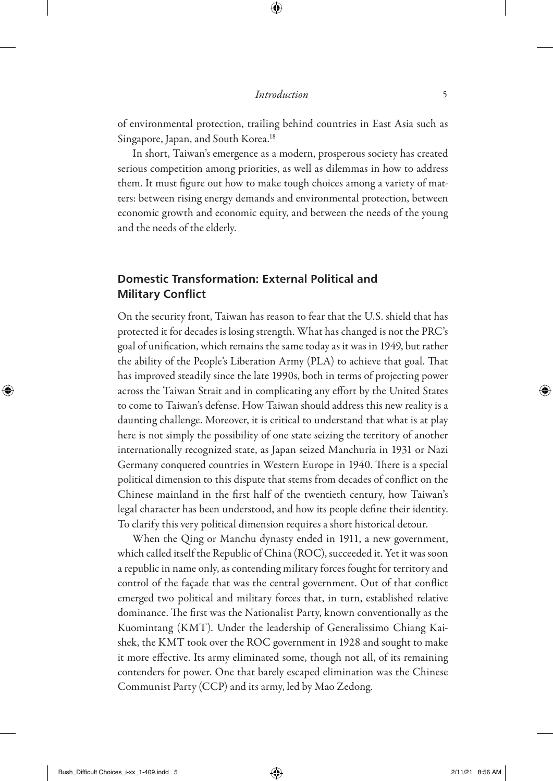of environmental protection, trailing behind countries in East Asia such as Singapore, Japan, and South Korea.<sup>18</sup>

In short, Taiwan's emergence as a modern, prosperous society has created serious competition among priorities, as well as dilemmas in how to address them. It must figure out how to make tough choices among a variety of matters: between rising energy demands and environmental protection, between economic growth and economic equity, and between the needs of the young and the needs of the elderly.

# **Domestic Transformation: External Political and Military Conflict**

On the security front, Taiwan has reason to fear that the U.S. shield that has protected it for decades is losing strength. What has changed is not the PRC's goal of unification, which remains the same today as it was in 1949, but rather the ability of the People's Liberation Army (PLA) to achieve that goal. That has improved steadily since the late 1990s, both in terms of projecting power across the Taiwan Strait and in complicating any effort by the United States to come to Taiwan's defense. How Taiwan should address this new reality is a daunting challenge. Moreover, it is critical to understand that what is at play here is not simply the possibility of one state seizing the territory of another internationally recognized state, as Japan seized Manchuria in 1931 or Nazi Germany conquered countries in Western Europe in 1940. There is a special political dimension to this dispute that stems from decades of conflict on the Chinese mainland in the first half of the twentieth century, how Taiwan's legal character has been understood, and how its people define their identity. To clarify this very political dimension requires a short historical detour.

When the Qing or Manchu dynasty ended in 1911, a new government, which called itself the Republic of China (ROC), succeeded it. Yet it was soon a republic in name only, as contending military forces fought for territory and control of the façade that was the central government. Out of that conflict emerged two political and military forces that, in turn, established relative dominance. The first was the Nationalist Party, known conventionally as the Kuomintang (KMT). Under the leadership of Generalissimo Chiang Kaishek, the KMT took over the ROC government in 1928 and sought to make it more effective. Its army eliminated some, though not all, of its remaining contenders for power. One that barely escaped elimination was the Chinese Communist Party (CCP) and its army, led by Mao Zedong.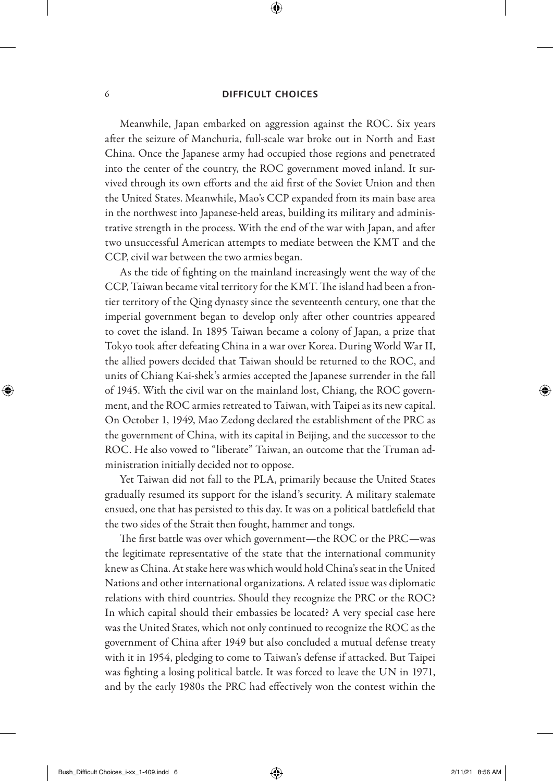#### 6 **DIFFICULT CHOICES**

Meanwhile, Japan embarked on aggression against the ROC. Six years after the seizure of Manchuria, full-scale war broke out in North and East China. Once the Japanese army had occupied those regions and penetrated into the center of the country, the ROC government moved inland. It survived through its own efforts and the aid first of the Soviet Union and then the United States. Meanwhile, Mao's CCP expanded from its main base area in the northwest into Japanese-held areas, building its military and administrative strength in the process. With the end of the war with Japan, and after two unsuccessful American attempts to mediate between the KMT and the CCP, civil war between the two armies began.

As the tide of fighting on the mainland increasingly went the way of the CCP, Taiwan became vital territory for the KMT. The island had been a frontier territory of the Qing dynasty since the seventeenth century, one that the imperial government began to develop only after other countries appeared to covet the island. In 1895 Taiwan became a colony of Japan, a prize that Tokyo took after defeating China in a war over Korea. During World War II, the allied powers decided that Taiwan should be returned to the ROC, and units of Chiang Kai-shek's armies accepted the Japanese surrender in the fall of 1945. With the civil war on the mainland lost, Chiang, the ROC government, and the ROC armies retreated to Taiwan, with Taipei as its new capital. On October 1, 1949, Mao Zedong declared the establishment of the PRC as the government of China, with its capital in Beijing, and the successor to the ROC. He also vowed to "liberate" Taiwan, an outcome that the Truman administration initially decided not to oppose.

Yet Taiwan did not fall to the PLA, primarily because the United States gradually resumed its support for the island's security. A military stalemate ensued, one that has persisted to this day. It was on a political battlefield that the two sides of the Strait then fought, hammer and tongs.

The first battle was over which government—the ROC or the PRC—was the legitimate representative of the state that the international community knew as China. At stake here was which would hold China's seat in the United Nations and other international organizations. A related issue was diplomatic relations with third countries. Should they recognize the PRC or the ROC? In which capital should their embassies be located? A very special case here was the United States, which not only continued to recognize the ROC as the government of China after 1949 but also concluded a mutual defense treaty with it in 1954, pledging to come to Taiwan's defense if attacked. But Taipei was fighting a losing political battle. It was forced to leave the UN in 1971, and by the early 1980s the PRC had effectively won the contest within the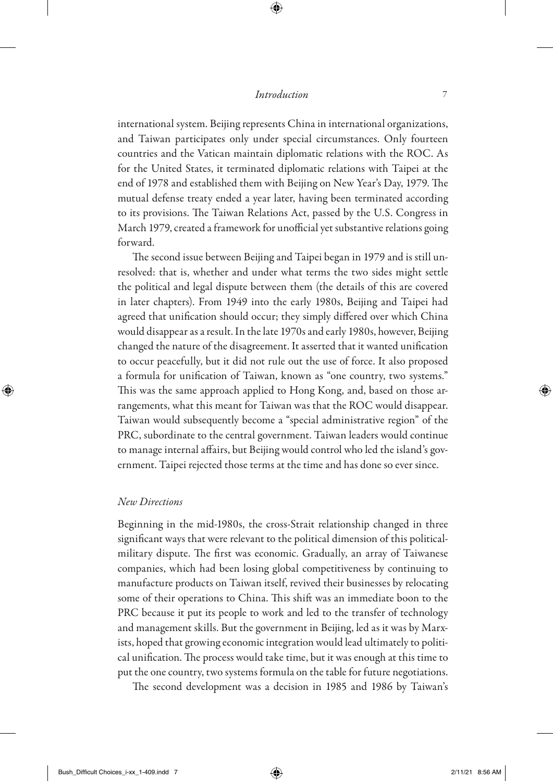international system. Beijing represents China in international organizations, and Taiwan participates only under special circumstances. Only fourteen countries and the Vatican maintain diplomatic relations with the ROC. As for the United States, it terminated diplomatic relations with Taipei at the end of 1978 and established them with Beijing on New Year's Day, 1979. The mutual defense treaty ended a year later, having been terminated according to its provisions. The Taiwan Relations Act, passed by the U.S. Congress in March 1979, created a framework for unofficial yet substantive relations going forward.

The second issue between Beijing and Taipei began in 1979 and is still unresolved: that is, whether and under what terms the two sides might settle the political and legal dispute between them (the details of this are covered in later chapters). From 1949 into the early 1980s, Beijing and Taipei had agreed that unification should occur; they simply differed over which China would disappear as a result. In the late 1970s and early 1980s, however, Beijing changed the nature of the disagreement. It asserted that it wanted unification to occur peacefully, but it did not rule out the use of force. It also proposed a formula for unification of Taiwan, known as "one country, two systems." This was the same approach applied to Hong Kong, and, based on those arrangements, what this meant for Taiwan was that the ROC would disappear. Taiwan would subsequently become a "special administrative region" of the PRC, subordinate to the central government. Taiwan leaders would continue to manage internal affairs, but Beijing would control who led the island's government. Taipei rejected those terms at the time and has done so ever since.

### *New Directions*

Beginning in the mid-1980s, the cross-Strait relationship changed in three significant ways that were relevant to the political dimension of this politicalmilitary dispute. The first was economic. Gradually, an array of Taiwanese companies, which had been losing global competitiveness by continuing to manufacture products on Taiwan itself, revived their businesses by relocating some of their operations to China. This shift was an immediate boon to the PRC because it put its people to work and led to the transfer of technology and management skills. But the government in Beijing, led as it was by Marxists, hoped that growing economic integration would lead ultimately to political unification. The process would take time, but it was enough at this time to put the one country, two systems formula on the table for future negotiations.

The second development was a decision in 1985 and 1986 by Taiwan's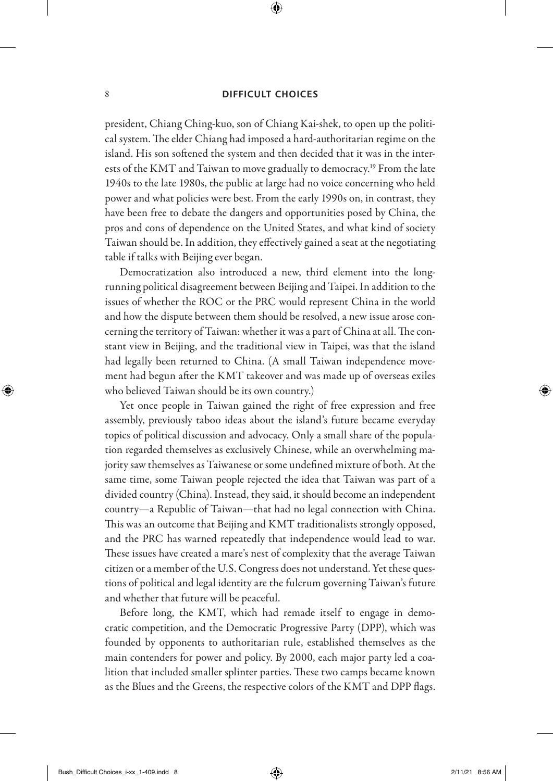president, Chiang Ching-kuo, son of Chiang Kai-shek, to open up the political system. The elder Chiang had imposed a hard-authoritarian regime on the island. His son softened the system and then decided that it was in the interests of the KMT and Taiwan to move gradually to democracy.<sup>19</sup> From the late 1940s to the late 1980s, the public at large had no voice concerning who held power and what policies were best. From the early 1990s on, in contrast, they have been free to debate the dangers and opportunities posed by China, the pros and cons of dependence on the United States, and what kind of society Taiwan should be. In addition, they effectively gained a seat at the negotiating table if talks with Beijing ever began.

Democratization also introduced a new, third element into the longrunning political disagreement between Beijing and Taipei. In addition to the issues of whether the ROC or the PRC would represent China in the world and how the dispute between them should be resolved, a new issue arose concerning the territory of Taiwan: whether it was a part of China at all. The constant view in Beijing, and the traditional view in Taipei, was that the island had legally been returned to China. (A small Taiwan independence movement had begun after the KMT takeover and was made up of overseas exiles who believed Taiwan should be its own country.)

Yet once people in Taiwan gained the right of free expression and free assembly, previously taboo ideas about the island's future became everyday topics of political discussion and advocacy. Only a small share of the population regarded themselves as exclusively Chinese, while an overwhelming majority saw themselves as Taiwanese or some undefined mixture of both. At the same time, some Taiwan people rejected the idea that Taiwan was part of a divided country (China). Instead, they said, it should become an independent country—a Republic of Taiwan—that had no legal connection with China. This was an outcome that Beijing and KMT traditionalists strongly opposed, and the PRC has warned repeatedly that independence would lead to war. These issues have created a mare's nest of complexity that the average Taiwan citizen or a member of the U.S. Congress does not understand. Yet these questions of political and legal identity are the fulcrum governing Taiwan's future and whether that future will be peaceful.

Before long, the KMT, which had remade itself to engage in democratic competition, and the Democratic Progressive Party (DPP), which was founded by opponents to authoritarian rule, established themselves as the main contenders for power and policy. By 2000, each major party led a coalition that included smaller splinter parties. These two camps became known as the Blues and the Greens, the respective colors of the KMT and DPP flags.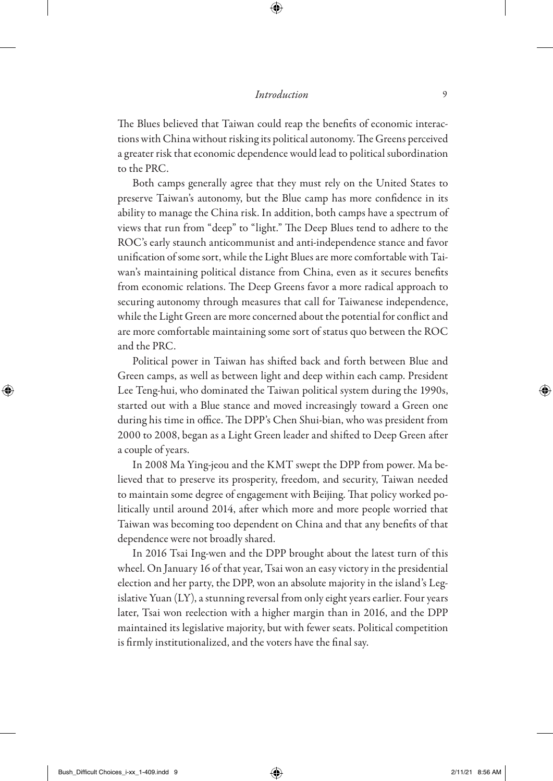The Blues believed that Taiwan could reap the benefits of economic interactions with China without risking its political autonomy. The Greens perceived a greater risk that economic dependence would lead to political subordination to the PRC.

Both camps generally agree that they must rely on the United States to preserve Taiwan's autonomy, but the Blue camp has more confidence in its ability to manage the China risk. In addition, both camps have a spectrum of views that run from "deep" to "light." The Deep Blues tend to adhere to the ROC's early staunch anticommunist and anti-independence stance and favor unification of some sort, while the Light Blues are more comfortable with Taiwan's maintaining political distance from China, even as it secures benefits from economic relations. The Deep Greens favor a more radical approach to securing autonomy through measures that call for Taiwanese independence, while the Light Green are more concerned about the potential for conflict and are more comfortable maintaining some sort of status quo between the ROC and the PRC.

Political power in Taiwan has shifted back and forth between Blue and Green camps, as well as between light and deep within each camp. President Lee Teng-hui, who dominated the Taiwan political system during the 1990s, started out with a Blue stance and moved increasingly toward a Green one during his time in office. The DPP's Chen Shui-bian, who was president from 2000 to 2008, began as a Light Green leader and shifted to Deep Green after a couple of years.

In 2008 Ma Ying-jeou and the KMT swept the DPP from power. Ma believed that to preserve its prosperity, freedom, and security, Taiwan needed to maintain some degree of engagement with Beijing. That policy worked politically until around 2014, after which more and more people worried that Taiwan was becoming too dependent on China and that any benefits of that dependence were not broadly shared.

In 2016 Tsai Ing-wen and the DPP brought about the latest turn of this wheel. On January 16 of that year, Tsai won an easy victory in the presidential election and her party, the DPP, won an absolute majority in the island's Legislative Yuan (LY), a stunning reversal from only eight years earlier. Four years later, Tsai won reelection with a higher margin than in 2016, and the DPP maintained its legislative majority, but with fewer seats. Political competition is firmly institutionalized, and the voters have the final say.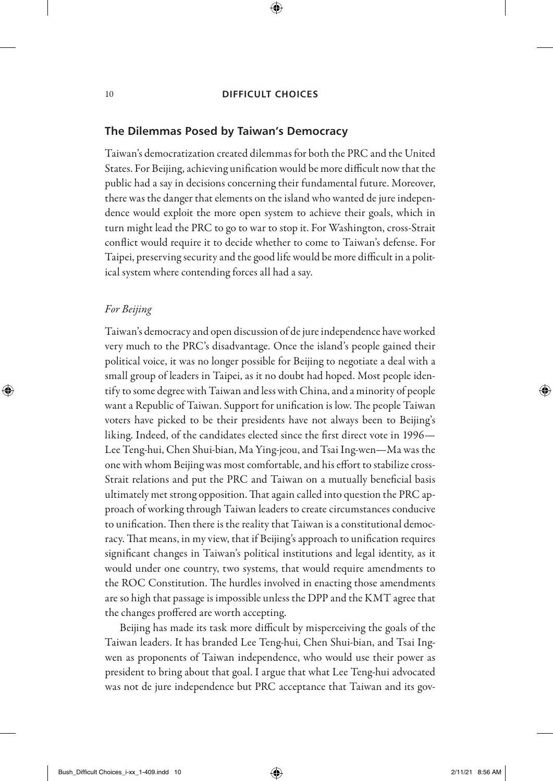# **The Dilemmas Posed by Taiwan's Democracy**

Taiwan's democratization created dilemmas for both the PRC and the United States. For Beijing, achieving unification would be more difficult now that the public had a say in decisions concerning their fundamental future. Moreover, there was the danger that elements on the island who wanted de jure independence would exploit the more open system to achieve their goals, which in turn might lead the PRC to go to war to stop it. For Washington, cross-Strait conflict would require it to decide whether to come to Taiwan's defense. For Taipei, preserving security and the good life would be more difficult in a political system where contending forces all had a say.

# *For Beijing*

Taiwan's democracy and open discussion of de jure independence have worked very much to the PRC's disadvantage. Once the island's people gained their political voice, it was no longer possible for Beijing to negotiate a deal with a small group of leaders in Taipei, as it no doubt had hoped. Most people identify to some degree with Taiwan and less with China, and a minority of people want a Republic of Taiwan. Support for unification is low. The people Taiwan voters have picked to be their presidents have not always been to Beijing's liking. Indeed, of the candidates elected since the first direct vote in 1996— Lee Teng-hui, Chen Shui-bian, Ma Ying-jeou, and Tsai Ing-wen—Ma was the one with whom Beijing was most comfortable, and his effort to stabilize cross-Strait relations and put the PRC and Taiwan on a mutually beneficial basis ultimately met strong opposition. That again called into question the PRC approach of working through Taiwan leaders to create circumstances conducive to unification. Then there is the reality that Taiwan is a constitutional democracy. That means, in my view, that if Beijing's approach to unification requires significant changes in Taiwan's political institutions and legal identity, as it would under one country, two systems, that would require amendments to the ROC Constitution. The hurdles involved in enacting those amendments are so high that passage is impossible unless the DPP and the KMT agree that the changes proffered are worth accepting.

Beijing has made its task more difficult by misperceiving the goals of the Taiwan leaders. It has branded Lee Teng-hui, Chen Shui-bian, and Tsai Ingwen as proponents of Taiwan independence, who would use their power as president to bring about that goal. I argue that what Lee Teng-hui advocated was not de jure independence but PRC acceptance that Taiwan and its gov-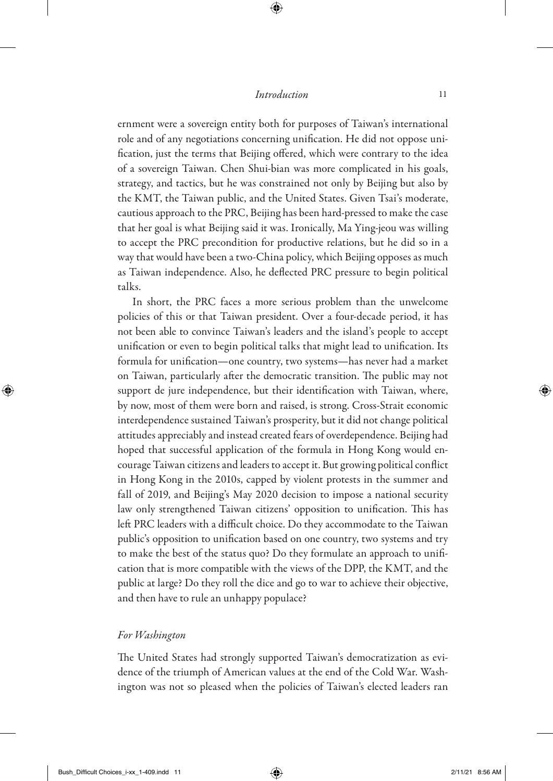ernment were a sovereign entity both for purposes of Taiwan's international role and of any negotiations concerning unification. He did not oppose unification, just the terms that Beijing offered, which were contrary to the idea of a sovereign Taiwan. Chen Shui-bian was more complicated in his goals, strategy, and tactics, but he was constrained not only by Beijing but also by the KMT, the Taiwan public, and the United States. Given Tsai's moderate, cautious approach to the PRC, Beijing has been hard-pressed to make the case that her goal is what Beijing said it was. Ironically, Ma Ying-jeou was willing to accept the PRC precondition for productive relations, but he did so in a way that would have been a two-China policy, which Beijing opposes as much as Taiwan independence. Also, he deflected PRC pressure to begin political talks.

In short, the PRC faces a more serious problem than the unwelcome policies of this or that Taiwan president. Over a four-decade period, it has not been able to convince Taiwan's leaders and the island's people to accept unification or even to begin political talks that might lead to unification. Its formula for unification—one country, two systems—has never had a market on Taiwan, particularly after the democratic transition. The public may not support de jure independence, but their identification with Taiwan, where, by now, most of them were born and raised, is strong. Cross-Strait economic interdependence sustained Taiwan's prosperity, but it did not change political attitudes appreciably and instead created fears of overdependence. Beijing had hoped that successful application of the formula in Hong Kong would encourage Taiwan citizens and leaders to accept it. But growing political conflict in Hong Kong in the 2010s, capped by violent protests in the summer and fall of 2019, and Beijing's May 2020 decision to impose a national security law only strengthened Taiwan citizens' opposition to unification. This has left PRC leaders with a difficult choice. Do they accommodate to the Taiwan public's opposition to unification based on one country, two systems and try to make the best of the status quo? Do they formulate an approach to unification that is more compatible with the views of the DPP, the KMT, and the public at large? Do they roll the dice and go to war to achieve their objective, and then have to rule an unhappy populace?

# *For Washington*

The United States had strongly supported Taiwan's democratization as evidence of the triumph of American values at the end of the Cold War. Washington was not so pleased when the policies of Taiwan's elected leaders ran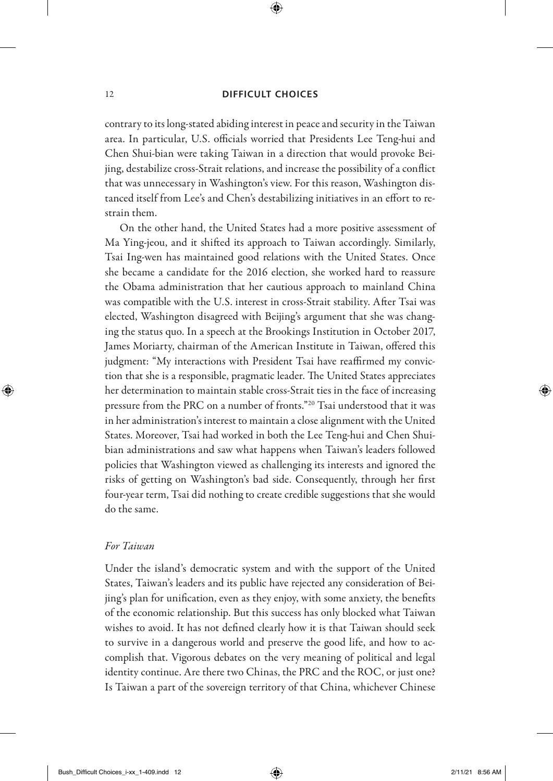contrary to its long-stated abiding interest in peace and security in the Taiwan area. In particular, U.S. officials worried that Presidents Lee Teng-hui and Chen Shui-bian were taking Taiwan in a direction that would provoke Beijing, destabilize cross-Strait relations, and increase the possibility of a conflict that was unnecessary in Washington's view. For this reason, Washington distanced itself from Lee's and Chen's destabilizing initiatives in an effort to restrain them.

On the other hand, the United States had a more positive assessment of Ma Ying-jeou, and it shifted its approach to Taiwan accordingly. Similarly, Tsai Ing-wen has maintained good relations with the United States. Once she became a candidate for the 2016 election, she worked hard to reassure the Obama administration that her cautious approach to mainland China was compatible with the U.S. interest in cross-Strait stability. After Tsai was elected, Washington disagreed with Beijing's argument that she was changing the status quo. In a speech at the Brookings Institution in October 2017, James Moriarty, chairman of the American Institute in Taiwan, offered this judgment: "My interactions with President Tsai have reaffirmed my conviction that she is a responsible, pragmatic leader. The United States appreciates her determination to maintain stable cross-Strait ties in the face of increasing pressure from the PRC on a number of fronts."20 Tsai understood that it was in her administration's interest to maintain a close alignment with the United States. Moreover, Tsai had worked in both the Lee Teng-hui and Chen Shuibian administrations and saw what happens when Taiwan's leaders followed policies that Washington viewed as challenging its interests and ignored the risks of getting on Washington's bad side. Consequently, through her first four-year term, Tsai did nothing to create credible suggestions that she would do the same.

# *For Taiwan*

Under the island's democratic system and with the support of the United States, Taiwan's leaders and its public have rejected any consideration of Beijing's plan for unification, even as they enjoy, with some anxiety, the benefits of the economic relationship. But this success has only blocked what Taiwan wishes to avoid. It has not defined clearly how it is that Taiwan should seek to survive in a dangerous world and preserve the good life, and how to accomplish that. Vigorous debates on the very meaning of political and legal identity continue. Are there two Chinas, the PRC and the ROC, or just one? Is Taiwan a part of the sovereign territory of that China, whichever Chinese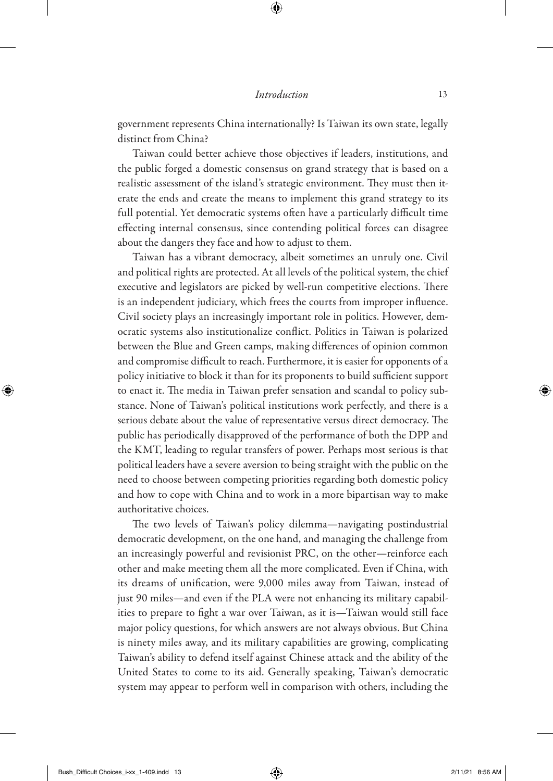government represents China internationally? Is Taiwan its own state, legally distinct from China?

Taiwan could better achieve those objectives if leaders, institutions, and the public forged a domestic consensus on grand strategy that is based on a realistic assessment of the island's strategic environment. They must then iterate the ends and create the means to implement this grand strategy to its full potential. Yet democratic systems often have a particularly difficult time effecting internal consensus, since contending political forces can disagree about the dangers they face and how to adjust to them.

Taiwan has a vibrant democracy, albeit sometimes an unruly one. Civil and political rights are protected. At all levels of the political system, the chief executive and legislators are picked by well-run competitive elections. There is an independent judiciary, which frees the courts from improper influence. Civil society plays an increasingly important role in politics. However, democratic systems also institutionalize conflict. Politics in Taiwan is polarized between the Blue and Green camps, making differences of opinion common and compromise difficult to reach. Furthermore, it is easier for opponents of a policy initiative to block it than for its proponents to build sufficient support to enact it. The media in Taiwan prefer sensation and scandal to policy substance. None of Taiwan's political institutions work perfectly, and there is a serious debate about the value of representative versus direct democracy. The public has periodically disapproved of the performance of both the DPP and the KMT, leading to regular transfers of power. Perhaps most serious is that political leaders have a severe aversion to being straight with the public on the need to choose between competing priorities regarding both domestic policy and how to cope with China and to work in a more bipartisan way to make authoritative choices.

The two levels of Taiwan's policy dilemma—navigating postindustrial democratic development, on the one hand, and managing the challenge from an increasingly powerful and revisionist PRC, on the other—reinforce each other and make meeting them all the more complicated. Even if China, with its dreams of unification, were 9,000 miles away from Taiwan, instead of just 90 miles—and even if the PLA were not enhancing its military capabilities to prepare to fight a war over Taiwan, as it is—Taiwan would still face major policy questions, for which answers are not always obvious. But China is ninety miles away, and its military capabilities are growing, complicating Taiwan's ability to defend itself against Chinese attack and the ability of the United States to come to its aid. Generally speaking, Taiwan's democratic system may appear to perform well in comparison with others, including the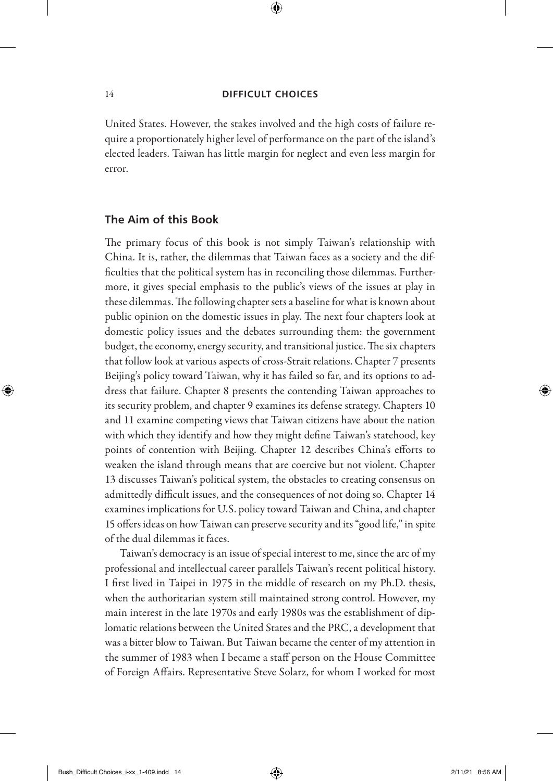United States. However, the stakes involved and the high costs of failure require a proportionately higher level of performance on the part of the island's elected leaders. Taiwan has little margin for neglect and even less margin for error.

# **The Aim of this Book**

The primary focus of this book is not simply Taiwan's relationship with China. It is, rather, the dilemmas that Taiwan faces as a society and the difficulties that the political system has in reconciling those dilemmas. Furthermore, it gives special emphasis to the public's views of the issues at play in these dilemmas. The following chapter sets a baseline for what is known about public opinion on the domestic issues in play. The next four chapters look at domestic policy issues and the debates surrounding them: the government budget, the economy, energy security, and transitional justice. The six chapters that follow look at various aspects of cross-Strait relations. Chapter 7 presents Beijing's policy toward Taiwan, why it has failed so far, and its options to address that failure. Chapter 8 presents the contending Taiwan approaches to its security problem, and chapter 9 examines its defense strategy. Chapters 10 and 11 examine competing views that Taiwan citizens have about the nation with which they identify and how they might define Taiwan's statehood, key points of contention with Beijing. Chapter 12 describes China's efforts to weaken the island through means that are coercive but not violent. Chapter 13 discusses Taiwan's political system, the obstacles to creating consensus on admittedly difficult issues, and the consequences of not doing so. Chapter 14 examines implications for U.S. policy toward Taiwan and China, and chapter 15 offers ideas on how Taiwan can preserve security and its "good life," in spite of the dual dilemmas it faces.

Taiwan's democracy is an issue of special interest to me, since the arc of my professional and intellectual career parallels Taiwan's recent political history. I first lived in Taipei in 1975 in the middle of research on my Ph.D. thesis, when the authoritarian system still maintained strong control. However, my main interest in the late 1970s and early 1980s was the establishment of diplomatic relations between the United States and the PRC, a development that was a bitter blow to Taiwan. But Taiwan became the center of my attention in the summer of 1983 when I became a staff person on the House Committee of Foreign Affairs. Representative Steve Solarz, for whom I worked for most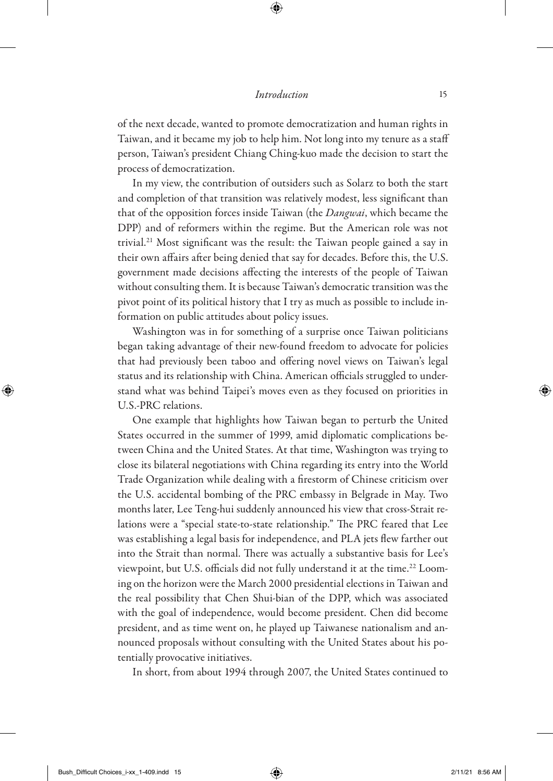of the next decade, wanted to promote democratization and human rights in Taiwan, and it became my job to help him. Not long into my tenure as a staff person, Taiwan's president Chiang Ching-kuo made the decision to start the process of democratization.

In my view, the contribution of outsiders such as Solarz to both the start and completion of that transition was relatively modest, less significant than that of the opposition forces inside Taiwan (the *Dangwai*, which became the DPP) and of reformers within the regime. But the American role was not trivial.21 Most significant was the result: the Taiwan people gained a say in their own affairs after being denied that say for decades. Before this, the U.S. government made decisions affecting the interests of the people of Taiwan without consulting them. It is because Taiwan's democratic transition was the pivot point of its political history that I try as much as possible to include information on public attitudes about policy issues.

Washington was in for something of a surprise once Taiwan politicians began taking advantage of their new-found freedom to advocate for policies that had previously been taboo and offering novel views on Taiwan's legal status and its relationship with China. American officials struggled to understand what was behind Taipei's moves even as they focused on priorities in U.S.-PRC relations.

One example that highlights how Taiwan began to perturb the United States occurred in the summer of 1999, amid diplomatic complications between China and the United States. At that time, Washington was trying to close its bilateral negotiations with China regarding its entry into the World Trade Organization while dealing with a firestorm of Chinese criticism over the U.S. accidental bombing of the PRC embassy in Belgrade in May. Two months later, Lee Teng-hui suddenly announced his view that cross-Strait relations were a "special state-to-state relationship." The PRC feared that Lee was establishing a legal basis for independence, and PLA jets flew farther out into the Strait than normal. There was actually a substantive basis for Lee's viewpoint, but U.S. officials did not fully understand it at the time.<sup>22</sup> Looming on the horizon were the March 2000 presidential elections in Taiwan and the real possibility that Chen Shui-bian of the DPP, which was associated with the goal of independence, would become president. Chen did become president, and as time went on, he played up Taiwanese nationalism and announced proposals without consulting with the United States about his potentially provocative initiatives.

In short, from about 1994 through 2007, the United States continued to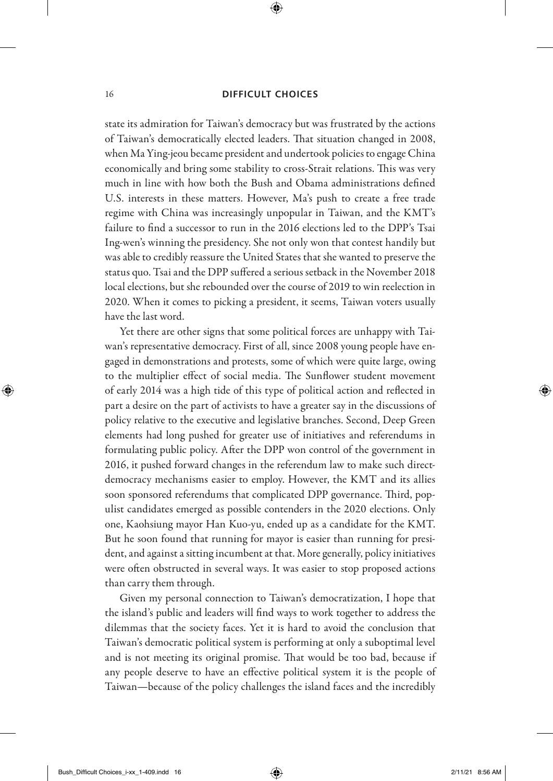state its admiration for Taiwan's democracy but was frustrated by the actions of Taiwan's democratically elected leaders. That situation changed in 2008, when Ma Ying-jeou became president and undertook policies to engage China economically and bring some stability to cross-Strait relations. This was very much in line with how both the Bush and Obama administrations defined U.S. interests in these matters. However, Ma's push to create a free trade regime with China was increasingly unpopular in Taiwan, and the KMT's failure to find a successor to run in the 2016 elections led to the DPP's Tsai Ing-wen's winning the presidency. She not only won that contest handily but was able to credibly reassure the United States that she wanted to preserve the status quo. Tsai and the DPP suffered a serious setback in the November 2018 local elections, but she rebounded over the course of 2019 to win reelection in 2020. When it comes to picking a president, it seems, Taiwan voters usually have the last word.

Yet there are other signs that some political forces are unhappy with Taiwan's representative democracy. First of all, since 2008 young people have engaged in demonstrations and protests, some of which were quite large, owing to the multiplier effect of social media. The Sunflower student movement of early 2014 was a high tide of this type of political action and reflected in part a desire on the part of activists to have a greater say in the discussions of policy relative to the executive and legislative branches. Second, Deep Green elements had long pushed for greater use of initiatives and referendums in formulating public policy. After the DPP won control of the government in 2016, it pushed forward changes in the referendum law to make such directdemocracy mechanisms easier to employ. However, the KMT and its allies soon sponsored referendums that complicated DPP governance. Third, populist candidates emerged as possible contenders in the 2020 elections. Only one, Kaohsiung mayor Han Kuo-yu, ended up as a candidate for the KMT. But he soon found that running for mayor is easier than running for president, and against a sitting incumbent at that. More generally, policy initiatives were often obstructed in several ways. It was easier to stop proposed actions than carry them through.

Given my personal connection to Taiwan's democratization, I hope that the island's public and leaders will find ways to work together to address the dilemmas that the society faces. Yet it is hard to avoid the conclusion that Taiwan's democratic political system is performing at only a suboptimal level and is not meeting its original promise. That would be too bad, because if any people deserve to have an effective political system it is the people of Taiwan—because of the policy challenges the island faces and the incredibly